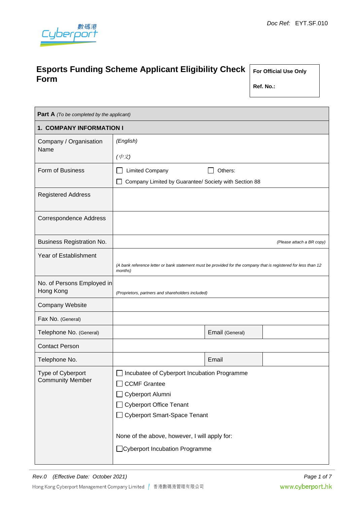

# **Esports Funding Scheme Applicant Eligibility Check Form**

**For Official Use Only**

**Ref. No.:**

| <b>Part A</b> (To be completed by the applicant) |                                                                                                                            |                 |  |
|--------------------------------------------------|----------------------------------------------------------------------------------------------------------------------------|-----------------|--|
| 1. COMPANY INFORMATION I                         |                                                                                                                            |                 |  |
| Company / Organisation<br>Name                   | (English)                                                                                                                  |                 |  |
|                                                  | (中文)                                                                                                                       |                 |  |
| Form of Business                                 | <b>Limited Company</b><br>Others:                                                                                          |                 |  |
|                                                  | Company Limited by Guarantee/ Society with Section 88                                                                      |                 |  |
| <b>Registered Address</b>                        |                                                                                                                            |                 |  |
| <b>Correspondence Address</b>                    |                                                                                                                            |                 |  |
| <b>Business Registration No.</b>                 | (Please attach a BR copy)                                                                                                  |                 |  |
| Year of Establishment                            |                                                                                                                            |                 |  |
|                                                  | (A bank reference letter or bank statement must be provided for the company that is registered for less than 12<br>months) |                 |  |
| No. of Persons Employed in<br>Hong Kong          | (Proprietors, partners and shareholders included)                                                                          |                 |  |
| <b>Company Website</b>                           |                                                                                                                            |                 |  |
| Fax No. (General)                                |                                                                                                                            |                 |  |
| Telephone No. (General)                          |                                                                                                                            | Email (General) |  |
| <b>Contact Person</b>                            |                                                                                                                            |                 |  |
| Telephone No.                                    |                                                                                                                            | Email           |  |
| Type of Cyberport                                | Incubatee of Cyberport Incubation Programme                                                                                |                 |  |
| <b>Community Member</b>                          | <b>CCMF Grantee</b>                                                                                                        |                 |  |
|                                                  | Cyberport Alumni                                                                                                           |                 |  |
|                                                  | <b>Cyberport Office Tenant</b>                                                                                             |                 |  |
|                                                  | <b>Cyberport Smart-Space Tenant</b>                                                                                        |                 |  |
|                                                  | None of the above, however, I will apply for:                                                                              |                 |  |
| □ Cyberport Incubation Programme                 |                                                                                                                            |                 |  |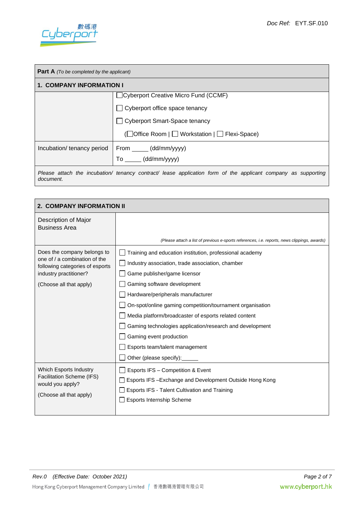

| <b>Part A</b> (To be completed by the applicant)                                                                           |                                                 |  |  |
|----------------------------------------------------------------------------------------------------------------------------|-------------------------------------------------|--|--|
| <b>1. COMPANY INFORMATION I</b>                                                                                            |                                                 |  |  |
|                                                                                                                            | Cyberport Creative Micro Fund (CCMF)            |  |  |
|                                                                                                                            | Cyberport office space tenancy                  |  |  |
|                                                                                                                            | <b>Cyberport Smart-Space tenancy</b>            |  |  |
|                                                                                                                            | (□ Office Room   □ Workstation   □ Flexi-Space) |  |  |
| Incubation/ tenancy period                                                                                                 | From (dd/mm/yyyy)                               |  |  |
|                                                                                                                            | To (dd/mm/yyyy)                                 |  |  |
| Please attach the incubation/ tenancy contract/ lease application form of the applicant company as supporting<br>document. |                                                 |  |  |

| <b>2. COMPANY INFORMATION II</b>                                 |                                                                                              |  |
|------------------------------------------------------------------|----------------------------------------------------------------------------------------------|--|
| Description of Major<br><b>Business Area</b>                     |                                                                                              |  |
|                                                                  | (Please attach a list of previous e-sports references, i.e. reports, news clippings, awards) |  |
| Does the company belongs to                                      | Training and education institution, professional academy                                     |  |
| one of / a combination of the<br>following categories of esports | Industry association, trade association, chamber                                             |  |
| industry practitioner?                                           | Game publisher/game licensor                                                                 |  |
| (Choose all that apply)                                          | Gaming software development                                                                  |  |
|                                                                  | Hardware/peripherals manufacturer                                                            |  |
|                                                                  | On-spot/online gaming competition/tournament organisation                                    |  |
|                                                                  | Media platform/broadcaster of esports related content                                        |  |
|                                                                  | Gaming technologies application/research and development                                     |  |
|                                                                  | Gaming event production                                                                      |  |
|                                                                  | Esports team/talent management                                                               |  |
|                                                                  | Other (please specify):                                                                      |  |
| Which Esports Industry                                           | Esports IFS - Competition & Event                                                            |  |
| Facilitation Scheme (IFS)<br>would you apply?                    | □ Esports IFS-Exchange and Development Outside Hong Kong                                     |  |
| (Choose all that apply)                                          | Esports IFS - Talent Cultivation and Training                                                |  |
|                                                                  | <b>Esports Internship Scheme</b>                                                             |  |
|                                                                  |                                                                                              |  |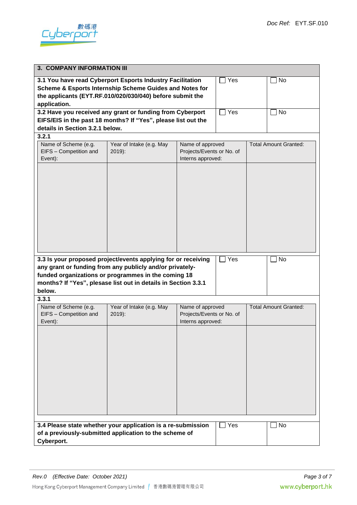

| <b>3. COMPANY INFORMATION III</b>                                                                                                                                                                                                                                         |                                      |                                                                    |     |  |                              |
|---------------------------------------------------------------------------------------------------------------------------------------------------------------------------------------------------------------------------------------------------------------------------|--------------------------------------|--------------------------------------------------------------------|-----|--|------------------------------|
| 3.1 You have read Cyberport Esports Industry Facilitation<br>Yes<br>Scheme & Esports Internship Scheme Guides and Notes for<br>the applicants (EYT.RF.010/020/030/040) before submit the<br>application.                                                                  |                                      |                                                                    |     |  | No                           |
| 3.2 Have you received any grant or funding from Cyberport<br>Yes<br>EIFS/EIS in the past 18 months? If "Yes", please list out the<br>details in Section 3.2.1 below.                                                                                                      |                                      |                                                                    |     |  | <b>No</b>                    |
| 3.2.1                                                                                                                                                                                                                                                                     |                                      |                                                                    |     |  |                              |
| Name of Scheme (e.g.<br>EIFS - Competition and<br>Event):                                                                                                                                                                                                                 | Year of Intake (e.g. May<br>$2019$ : | Name of approved<br>Projects/Events or No. of<br>Interns approved: |     |  | <b>Total Amount Granted:</b> |
| 3.3 Is your proposed project/events applying for or receiving<br>Yes<br>No<br>any grant or funding from any publicly and/or privately-<br>funded organizations or programmes in the coming 18<br>months? If "Yes", plesase list out in details in Section 3.3.1<br>below. |                                      |                                                                    |     |  |                              |
| 3.3.1                                                                                                                                                                                                                                                                     |                                      |                                                                    |     |  |                              |
| Name of Scheme (e.g.<br>EIFS - Competition and<br>Event):                                                                                                                                                                                                                 | Year of Intake (e.g. May<br>$2019$ : | Name of approved<br>Projects/Events or No. of<br>Interns approved: |     |  | <b>Total Amount Granted:</b> |
|                                                                                                                                                                                                                                                                           |                                      |                                                                    |     |  |                              |
| 3.4 Please state whether your application is a re-submission<br>of a previously-submitted application to the scheme of<br>Cyberport.                                                                                                                                      |                                      |                                                                    | Yes |  | No                           |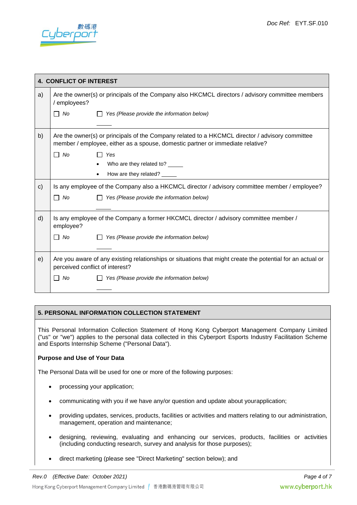

|              | <b>4. CONFLICT OF INTEREST</b>                                                                                                                |                                                                                                                                                                                   |  |
|--------------|-----------------------------------------------------------------------------------------------------------------------------------------------|-----------------------------------------------------------------------------------------------------------------------------------------------------------------------------------|--|
| a)           | Are the owner(s) or principals of the Company also HKCMCL directors / advisory committee members<br>/ employees?                              |                                                                                                                                                                                   |  |
|              | No<br>$\Box$                                                                                                                                  | $\Box$ Yes (Please provide the information below)                                                                                                                                 |  |
| b)           |                                                                                                                                               | Are the owner(s) or principals of the Company related to a HKCMCL director / advisory committee<br>member / employee, either as a spouse, domestic partner or immediate relative? |  |
|              | No<br>П                                                                                                                                       | Yes                                                                                                                                                                               |  |
|              |                                                                                                                                               | Who are they related to? _____                                                                                                                                                    |  |
|              |                                                                                                                                               | How are they related? _____                                                                                                                                                       |  |
| $\mathsf{c}$ |                                                                                                                                               | Is any employee of the Company also a HKCMCL director / advisory committee member / employee?                                                                                     |  |
|              | $\Box$ No                                                                                                                                     | Yes (Please provide the information below)                                                                                                                                        |  |
|              |                                                                                                                                               |                                                                                                                                                                                   |  |
| d)           | employee?                                                                                                                                     | Is any employee of the Company a former HKCMCL director / advisory committee member /                                                                                             |  |
|              | $\Box$ No                                                                                                                                     | Yes (Please provide the information below)                                                                                                                                        |  |
|              |                                                                                                                                               |                                                                                                                                                                                   |  |
| e)           | Are you aware of any existing relationships or situations that might create the potential for an actual or<br>perceived conflict of interest? |                                                                                                                                                                                   |  |
|              | No<br>ΙI                                                                                                                                      | Yes (Please provide the information below)                                                                                                                                        |  |
|              |                                                                                                                                               |                                                                                                                                                                                   |  |

# **5. PERSONAL INFORMATION COLLECTION STATEMENT**

This Personal Information Collection Statement of Hong Kong Cyberport Management Company Limited ("us" or "we") applies to the personal data collected in this Cyberport Esports Industry Facilitation Scheme and Esports Internship Scheme ("Personal Data").

# **Purpose and Use of Your Data**

The Personal Data will be used for one or more of the following purposes:

- processing your application;
- communicating with you if we have any/or question and update about yourapplication;
- providing updates, services, products, facilities or activities and matters relating to our administration, management, operation and maintenance;
- designing, reviewing, evaluating and enhancing our services, products, facilities or activities (including conducting research, survey and analysis for those purposes);
- direct marketing (please see "Direct Marketing" section below); and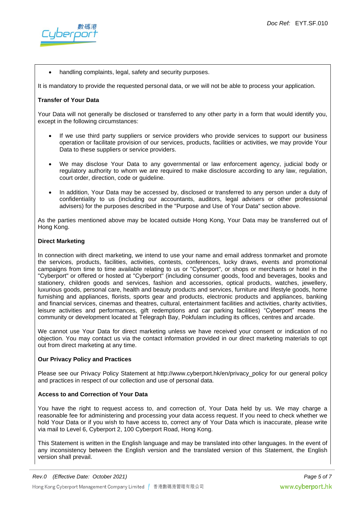

handling complaints, legal, safety and security purposes.

It is mandatory to provide the requested personal data, or we will not be able to process your application.

#### **Transfer of Your Data**

Your Data will not generally be disclosed or transferred to any other party in a form that would identify you, except in the following circumstances:

- If we use third party suppliers or service providers who provide services to support our business operation or facilitate provision of our services, products, facilities or activities, we may provide Your Data to these suppliers or service providers.
- We may disclose Your Data to any governmental or law enforcement agency, judicial body or regulatory authority to whom we are required to make disclosure according to any law, regulation, court order, direction, code or guideline.
- In addition, Your Data may be accessed by, disclosed or transferred to any person under a duty of confidentiality to us (including our accountants, auditors, legal advisers or other professional advisers) for the purposes described in the "Purpose and Use of Your Data" section above.

As the parties mentioned above may be located outside Hong Kong, Your Data may be transferred out of Hong Kong.

#### **Direct Marketing**

In connection with direct marketing, we intend to use your name and email address tonmarket and promote the services, products, facilities, activities, contests, conferences, lucky draws, events and promotional campaigns from time to time available relating to us or "Cyberport", or shops or merchants or hotel in the "Cyberport" or offered or hosted at "Cyberport" (including consumer goods, food and beverages, books and stationery, children goods and services, fashion and accessories, optical products, watches, jewellery, luxurious goods, personal care, health and beauty products and services, furniture and lifestyle goods, home furnishing and appliances, florists, sports gear and products, electronic products and appliances, banking and financial services, cinemas and theatres, cultural, entertainment facilities and activities, charity activities, leisure activities and performances, gift redemptions and car parking facilities) "Cyberport" means the community or development located at Telegraph Bay, Pokfulam including its offices, centres and arcade.

We cannot use Your Data for direct marketing unless we have received your consent or indication of no objection. You may contact us via the contact information provided in our direct marketing materials to opt out from direct marketing at any time.

# **Our Privacy Policy and Practices**

Please see our Privacy Policy Statement at http://www.cyberport.hk/en/privacy policy for our general policy and practices in respect of our collection and use of personal data.

# **Access to and Correction of Your Data**

You have the right to request access to, and correction of, Your Data held by us. We may charge a reasonable fee for administering and processing your data access request. If you need to check whether we hold Your Data or if you wish to have access to, correct any of Your Data which is inaccurate, please write via mail to Level 6, Cyberport 2, 100 Cyberport Road, Hong Kong.

This Statement is written in the English language and may be translated into other languages. In the event of any inconsistency between the English version and the translated version of this Statement, the English version shall prevail.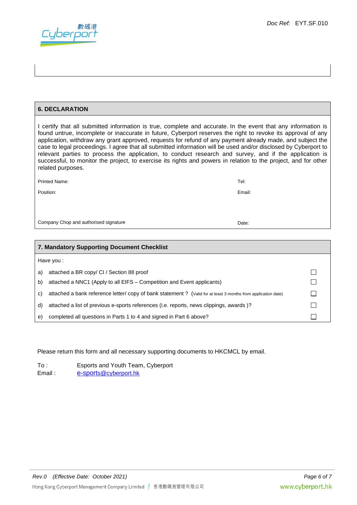

# **6. DECLARATION**

I certify that all submitted information is true, complete and accurate. In the event that any information is found untrue, incomplete or inaccurate in future, Cyberport reserves the right to revoke its approval of any application, withdraw any grant approved, requests for refund of any payment already made, and subject the case to legal proceedings. I agree that all submitted information will be used and/or disclosed by Cyberport to relevant parties to process the application, to conduct research and survey, and if the application is successful, to monitor the project, to exercise its rights and powers in relation to the project, and for other related purposes.

| <b>Printed Name:</b>                  | Tel:   |
|---------------------------------------|--------|
| Position:                             | Email: |
|                                       |        |
|                                       |        |
| Company Chop and authorised signature | Date:  |

| 7. Mandatory Supporting Document Checklist |                                                                                                               |                |  |
|--------------------------------------------|---------------------------------------------------------------------------------------------------------------|----------------|--|
|                                            | Have you:                                                                                                     |                |  |
| a)                                         | attached a BR copy/ CI / Section 88 proof                                                                     |                |  |
| b)                                         | attached a NNC1 (Apply to all EIFS – Competition and Event applicants)                                        | $\mathbb{R}^n$ |  |
| C)                                         | attached a bank reference letter/copy of bank statement ? (Valid for at least 3 months from application date) |                |  |
| d)                                         | attached a list of previous e-sports references (i.e. reports, news clippings, awards)?                       |                |  |
| e)                                         | completed all questions in Parts 1 to 4 and signed in Part 6 above?                                           |                |  |

# Please return this form and all necessary supporting documents to HKCMCL by email.

To : Esports and Youth Team, Cyberport Email: e-sport[s@cyberport.hk](mailto:s@cyberport.hk)